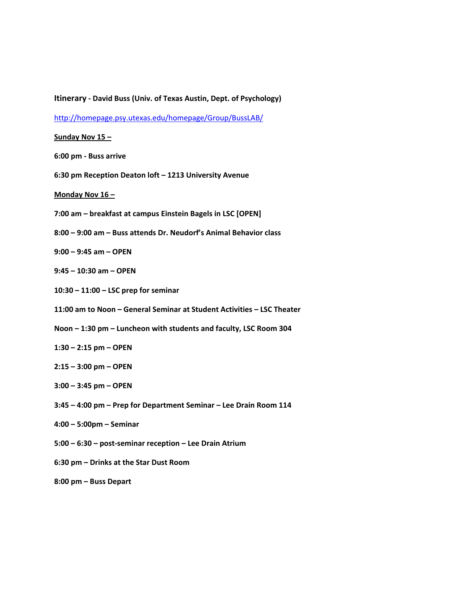**Itinerary ‐ David Buss (Univ. of Texas Austin, Dept. of Psychology)**

http://homepage.psy.utexas.edu/homepage/Group/BussLAB/

## **Sunday Nov 15 –**

**6:00 pm ‐ Buss arrive** 

**6:30 pm Reception Deaton loft – 1213 University Avenue** 

**Monday Nov 16 –**

- **7:00 am – breakfast at campus Einstein Bagels in LSC [OPEN]**
- **8:00 – 9:00 am – Buss attends Dr. Neudorf's Animal Behavior class**
- **9:00 – 9:45 am – OPEN**
- **9:45 – 10:30 am – OPEN**
- **10:30 – 11:00 – LSC prep for seminar**
- **11:00 am to Noon – General Seminar at Student Activities – LSC Theater**
- **Noon – 1:30 pm – Luncheon with students and faculty, LSC Room 304**
- **1:30 – 2:15 pm – OPEN**
- **2:15 – 3:00 pm – OPEN**
- **3:00 – 3:45 pm – OPEN**
- **3:45 – 4:00 pm – Prep for Department Seminar – Lee Drain Room 114**
- **4:00 – 5:00pm – Seminar**
- **5:00 – 6:30 – post‐seminar reception – Lee Drain Atrium**
- **6:30 pm – Drinks at the Star Dust Room**
- **8:00 pm – Buss Depart**